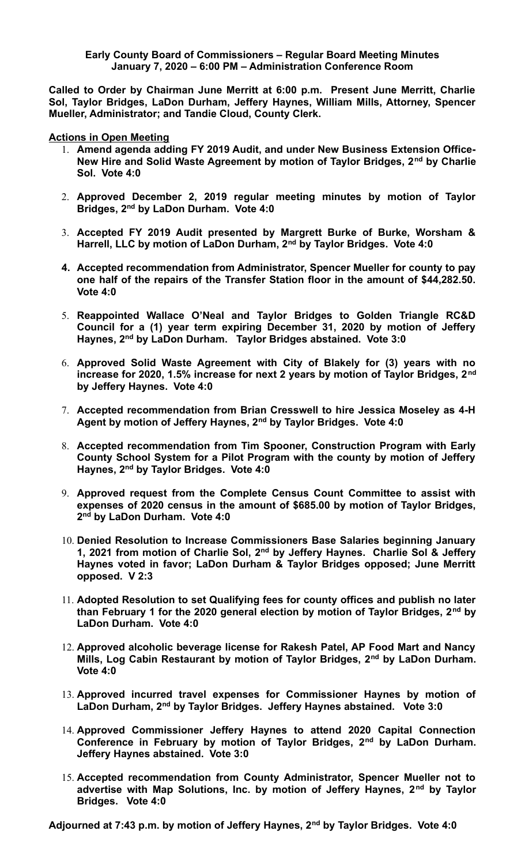## **Early County Board of Commissioners – Regular Board Meeting Minutes January 7, 2020 – 6:00 PM – Administration Conference Room**

**Called to Order by Chairman June Merritt at 6:00 p.m. Present June Merritt, Charlie Sol, Taylor Bridges, LaDon Durham, Jeffery Haynes, William Mills, Attorney, Spencer Mueller, Administrator; and Tandie Cloud, County Clerk.** 

**Actions in Open Meeting**

- 1. **Amend agenda adding FY 2019 Audit, and under New Business Extension Office-New Hire and Solid Waste Agreement by motion of Taylor Bridges, 2nd by Charlie Sol. Vote 4:0**
- 2. **Approved December 2, 2019 regular meeting minutes by motion of Taylor Bridges, 2nd by LaDon Durham. Vote 4:0**
- 3. **Accepted FY 2019 Audit presented by Margrett Burke of Burke, Worsham & Harrell, LLC by motion of LaDon Durham, 2nd by Taylor Bridges. Vote 4:0**
- **4. Accepted recommendation from Administrator, Spencer Mueller for county to pay one half of the repairs of the Transfer Station floor in the amount of \$44,282.50. Vote 4:0**
- 5. **Reappointed Wallace O'Neal and Taylor Bridges to Golden Triangle RC&D Council for a (1) year term expiring December 31, 2020 by motion of Jeffery Haynes, 2nd by LaDon Durham. Taylor Bridges abstained. Vote 3:0**
- 6. **Approved Solid Waste Agreement with City of Blakely for (3) years with no increase for 2020, 1.5% increase for next 2 years by motion of Taylor Bridges, 2nd by Jeffery Haynes. Vote 4:0**
- 7. **Accepted recommendation from Brian Cresswell to hire Jessica Moseley as 4-H Agent by motion of Jeffery Haynes, 2nd by Taylor Bridges. Vote 4:0**
- 8. **Accepted recommendation from Tim Spooner, Construction Program with Early County School System for a Pilot Program with the county by motion of Jeffery Haynes, 2nd by Taylor Bridges. Vote 4:0**
- 9. **Approved request from the Complete Census Count Committee to assist with expenses of 2020 census in the amount of \$685.00 by motion of Taylor Bridges, 2 nd by LaDon Durham. Vote 4:0**
- 10. **Denied Resolution to Increase Commissioners Base Salaries beginning January 1, 2021 from motion of Charlie Sol, 2nd by Jeffery Haynes. Charlie Sol & Jeffery Haynes voted in favor; LaDon Durham & Taylor Bridges opposed; June Merritt opposed. V 2:3**
- 11. **Adopted Resolution to set Qualifying fees for county offices and publish no later than February 1 for the 2020 general election by motion of Taylor Bridges, 2nd by LaDon Durham. Vote 4:0**
- 12. **Approved alcoholic beverage license for Rakesh Patel, AP Food Mart and Nancy Mills, Log Cabin Restaurant by motion of Taylor Bridges, 2nd by LaDon Durham. Vote 4:0**
- 13. **Approved incurred travel expenses for Commissioner Haynes by motion of LaDon Durham, 2nd by Taylor Bridges. Jeffery Haynes abstained. Vote 3:0**
- 14. **Approved Commissioner Jeffery Haynes to attend 2020 Capital Connection Conference in February by motion of Taylor Bridges, 2nd by LaDon Durham. Jeffery Haynes abstained. Vote 3:0**
- 15. **Accepted recommendation from County Administrator, Spencer Mueller not to advertise with Map Solutions, Inc. by motion of Jeffery Haynes, 2nd by Taylor Bridges. Vote 4:0**

**Adjourned at 7:43 p.m. by motion of Jeffery Haynes, 2nd by Taylor Bridges. Vote 4:0**